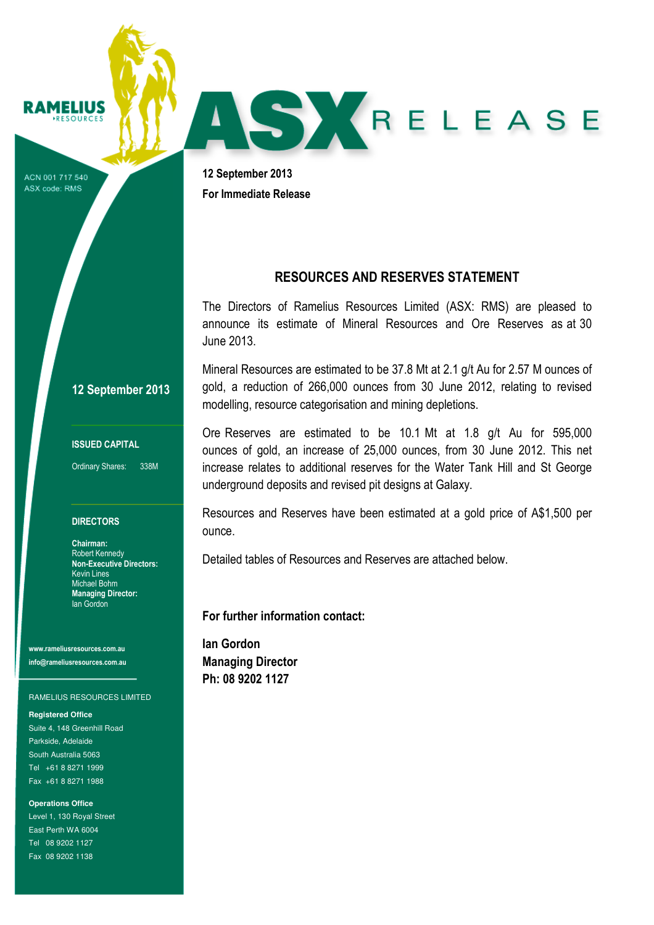**RAMELIUS** 

ACN 001 717 540 ASX code: RMS

12 September 2013 For Immediate Release

# RESOURCES AND RESERVES STATEMENT

AS KRELEASE

The Directors of Ramelius Resources Limited (ASX: RMS) are pleased to announce its estimate of Mineral Resources and Ore Reserves as at 30 June 2013.

Mineral Resources are estimated to be 37.8 Mt at 2.1 g/t Au for 2.57 M ounces of gold, a reduction of 266,000 ounces from 30 June 2012, relating to revised modelling, resource categorisation and mining depletions.

Ore Reserves are estimated to be 10.1 Mt at 1.8 g/t Au for 595,000 ounces of gold, an increase of 25,000 ounces, from 30 June 2012. This net increase relates to additional reserves for the Water Tank Hill and St George underground deposits and revised pit designs at Galaxy.

Resources and Reserves have been estimated at a gold price of A\$1,500 per ounce.

Detailed tables of Resources and Reserves are attached below.

For further information contact:

Ian Gordon Managing Director Ph: 08 9202 1127

12 September 2013

ISSUED CAPITAL

Ordinary Shares: 338M

#### **DIRECTORS**

Chairman: Robert Kennedy Non-Executive Directors: Kevin Lines Michael Bohm Managing Director: Ian Gordon

www.rameliusresources.com.au info@rameliusresources.com.au

#### RAMELIUS RESOURCES LIMITED

**Registered Office**  Suite 4, 148 Greenhill Road Parkside, Adelaide South Australia 5063 Tel +61 8 8271 1999

Fax +61 8 8271 1988

**Operations Office**  Level 1, 130 Royal Street East Perth WA 6004 Tel 08 9202 1127 Fax 08 9202 1138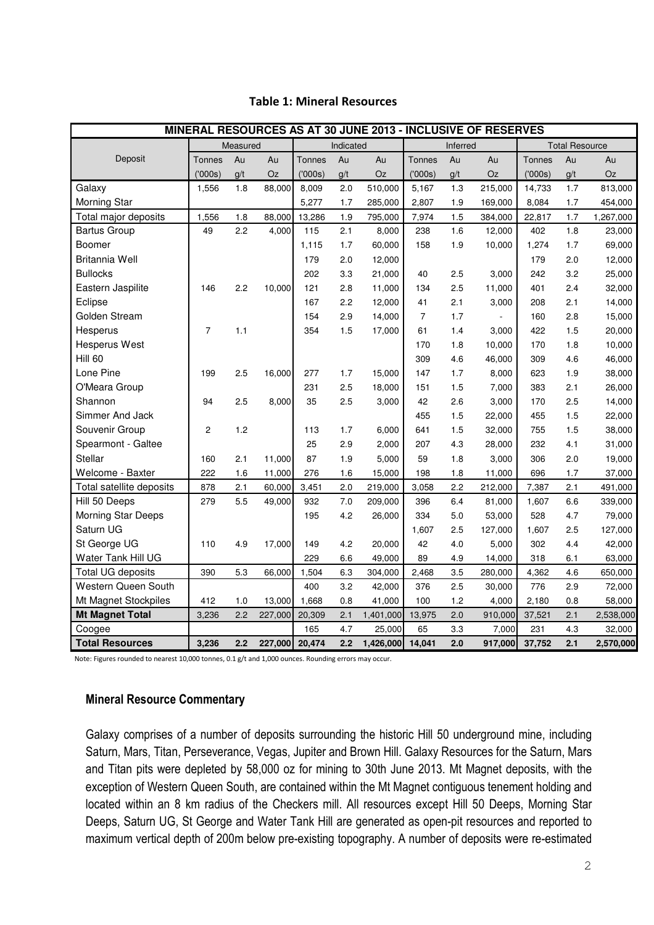| MINERAL RESOURCES AS AT 30 JUNE 2013 - INCLUSIVE OF RESERVES |                |     |           |               |          |                  |                |                       |         |               |     |           |
|--------------------------------------------------------------|----------------|-----|-----------|---------------|----------|------------------|----------------|-----------------------|---------|---------------|-----|-----------|
|                                                              | Measured       |     | Indicated |               | Inferred |                  |                | <b>Total Resource</b> |         |               |     |           |
| Deposit                                                      | <b>Tonnes</b>  | Au  | Au        | <b>Tonnes</b> | Au       | Au               | Tonnes         | Au                    | Au      | <b>Tonnes</b> | Au  | Au        |
|                                                              | (000s)         | g/t | Oz        | (000s)        | g/t      | Oz               | (′000s)        | g/t                   | Oz      | (000s)        | q/t | Oz        |
| Galaxy                                                       | 1,556          | 1.8 | 88,000    | 8,009         | 2.0      | 510,000          | 5,167          | 1.3                   | 215,000 | 14,733        | 1.7 | 813,000   |
| <b>Morning Star</b>                                          |                |     |           | 5,277         | 1.7      | 285,000          | 2,807          | 1.9                   | 169,000 | 8,084         | 1.7 | 454,000   |
| Total major deposits                                         | 1,556          | 1.8 | 88,000    | 13,286        | 1.9      | 795,000          | 7,974          | 1.5                   | 384,000 | 22,817        | 1.7 | 1,267,000 |
| <b>Bartus Group</b>                                          | 49             | 2.2 | 4,000     | 115           | 2.1      | 8,000            | 238            | 1.6                   | 12,000  | 402           | 1.8 | 23,000    |
| Boomer                                                       |                |     |           | 1,115         | 1.7      | 60,000           | 158            | 1.9                   | 10,000  | 1,274         | 1.7 | 69,000    |
| Britannia Well                                               |                |     |           | 179           | 2.0      | 12,000           |                |                       |         | 179           | 2.0 | 12,000    |
| <b>Bullocks</b>                                              |                |     |           | 202           | 3.3      | 21,000           | 40             | 2.5                   | 3,000   | 242           | 3.2 | 25,000    |
| Eastern Jaspilite                                            | 146            | 2.2 | 10,000    | 121           | 2.8      | 11,000           | 134            | 2.5                   | 11,000  | 401           | 2.4 | 32,000    |
| Eclipse                                                      |                |     |           | 167           | 2.2      | 12,000           | 41             | 2.1                   | 3,000   | 208           | 2.1 | 14,000    |
| Golden Stream                                                |                |     |           | 154           | 2.9      | 14,000           | $\overline{7}$ | 1.7                   |         | 160           | 2.8 | 15,000    |
| Hesperus                                                     | $\overline{7}$ | 1.1 |           | 354           | 1.5      | 17,000           | 61             | 1.4                   | 3,000   | 422           | 1.5 | 20,000    |
| Hesperus West                                                |                |     |           |               |          |                  | 170            | 1.8                   | 10,000  | 170           | 1.8 | 10,000    |
| Hill 60                                                      |                |     |           |               |          |                  | 309            | 4.6                   | 46,000  | 309           | 4.6 | 46,000    |
| Lone Pine                                                    | 199            | 2.5 | 16,000    | 277           | 1.7      | 15,000           | 147            | 1.7                   | 8,000   | 623           | 1.9 | 38,000    |
| O'Meara Group                                                |                |     |           | 231           | 2.5      | 18,000           | 151            | 1.5                   | 7,000   | 383           | 2.1 | 26,000    |
| Shannon                                                      | 94             | 2.5 | 8,000     | 35            | 2.5      | 3,000            | 42             | 2.6                   | 3,000   | 170           | 2.5 | 14,000    |
| Simmer And Jack                                              |                |     |           |               |          |                  | 455            | 1.5                   | 22,000  | 455           | 1.5 | 22,000    |
| Souvenir Group                                               | $\overline{c}$ | 1.2 |           | 113           | 1.7      | 6,000            | 641            | 1.5                   | 32,000  | 755           | 1.5 | 38,000    |
| Spearmont - Galtee                                           |                |     |           | 25            | 2.9      | 2,000            | 207            | 4.3                   | 28,000  | 232           | 4.1 | 31,000    |
| Stellar                                                      | 160            | 2.1 | 11,000    | 87            | 1.9      | 5,000            | 59             | 1.8                   | 3,000   | 306           | 2.0 | 19,000    |
| Welcome - Baxter                                             | 222            | 1.6 | 11,000    | 276           | 1.6      | 15,000           | 198            | 1.8                   | 11,000  | 696           | 1.7 | 37,000    |
| Total satellite deposits                                     | 878            | 2.1 | 60,000    | 3,451         | 2.0      | 219,000          | 3,058          | 2.2                   | 212,000 | 7,387         | 2.1 | 491,000   |
| Hill 50 Deeps                                                | 279            | 5.5 | 49,000    | 932           | 7.0      | 209,000          | 396            | 6.4                   | 81,000  | 1,607         | 6.6 | 339,000   |
| Morning Star Deeps                                           |                |     |           | 195           | 4.2      | 26,000           | 334            | 5.0                   | 53,000  | 528           | 4.7 | 79,000    |
| Saturn UG                                                    |                |     |           |               |          |                  | 1,607          | 2.5                   | 127,000 | 1,607         | 2.5 | 127,000   |
| St George UG                                                 | 110            | 4.9 | 17,000    | 149           | 4.2      | 20,000           | 42             | 4.0                   | 5,000   | 302           | 4.4 | 42,000    |
| Water Tank Hill UG                                           |                |     |           | 229           | 6.6      | 49,000           | 89             | 4.9                   | 14,000  | 318           | 6.1 | 63,000    |
| <b>Total UG deposits</b>                                     | 390            | 5.3 | 66,000    | 1,504         | 6.3      | 304,000          | 2,468          | 3.5                   | 280,000 | 4,362         | 4.6 | 650,000   |
| Western Queen South                                          |                |     |           | 400           | 3.2      | 42,000           | 376            | 2.5                   | 30,000  | 776           | 2.9 | 72,000    |
| Mt Magnet Stockpiles                                         | 412            | 1.0 | 13,000    | 1,668         | 0.8      | 41,000           | 100            | 1.2                   | 4,000   | 2,180         | 0.8 | 58,000    |
| <b>Mt Magnet Total</b>                                       | 3,236          | 2.2 | 227,000   | 20,309        | 2.1      | 1,401,000        | 13,975         | 2.0                   | 910,000 | 37,521        | 2.1 | 2,538,000 |
| Coogee                                                       |                |     |           | 165           | 4.7      | 25,000           | 65             | 3.3                   | 7,000   | 231           | 4.3 | 32,000    |
| <b>Total Resources</b>                                       | 3.236          | 2.2 | 227,000   | 20,474        | 2.2      | 1,426,000 14,041 |                | 2.0                   | 917,000 | 37,752        | 2.1 | 2,570,000 |

## Table 1: Mineral Resources

Note: Figures rounded to nearest 10,000 tonnes, 0.1 g/t and 1,000 ounces. Rounding errors may occur.

### Mineral Resource Commentary

Galaxy comprises of a number of deposits surrounding the historic Hill 50 underground mine, including Saturn, Mars, Titan, Perseverance, Vegas, Jupiter and Brown Hill. Galaxy Resources for the Saturn, Mars and Titan pits were depleted by 58,000 oz for mining to 30th June 2013. Mt Magnet deposits, with the exception of Western Queen South, are contained within the Mt Magnet contiguous tenement holding and located within an 8 km radius of the Checkers mill. All resources except Hill 50 Deeps, Morning Star Deeps, Saturn UG, St George and Water Tank Hill are generated as open-pit resources and reported to maximum vertical depth of 200m below pre-existing topography. A number of deposits were re-estimated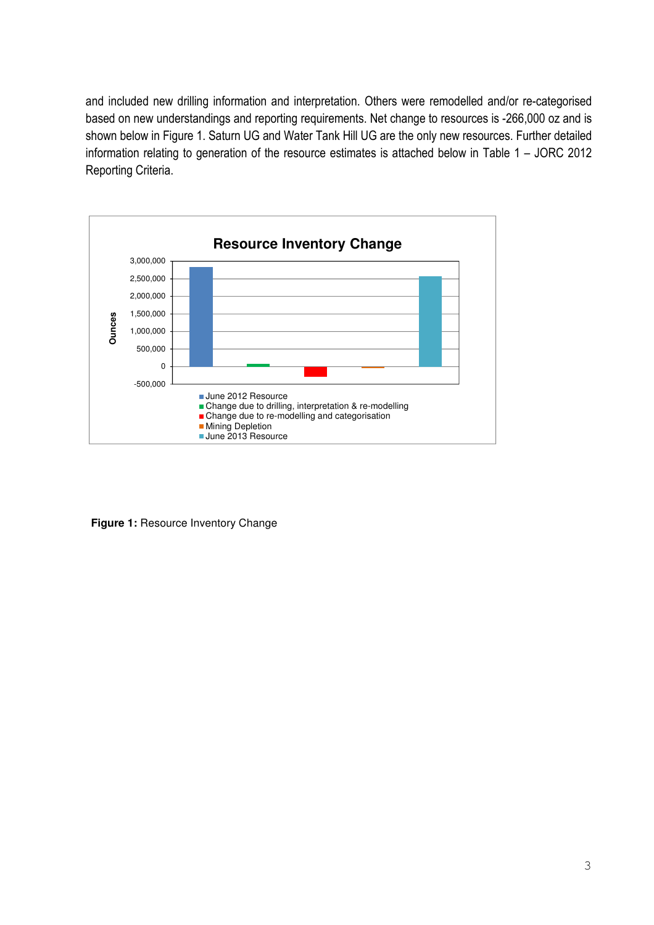and included new drilling information and interpretation. Others were remodelled and/or re-categorised based on new understandings and reporting requirements. Net change to resources is -266,000 oz and is shown below in Figure 1. Saturn UG and Water Tank Hill UG are the only new resources. Further detailed information relating to generation of the resource estimates is attached below in Table 1 – JORC 2012 Reporting Criteria.



**Figure 1:** Resource Inventory Change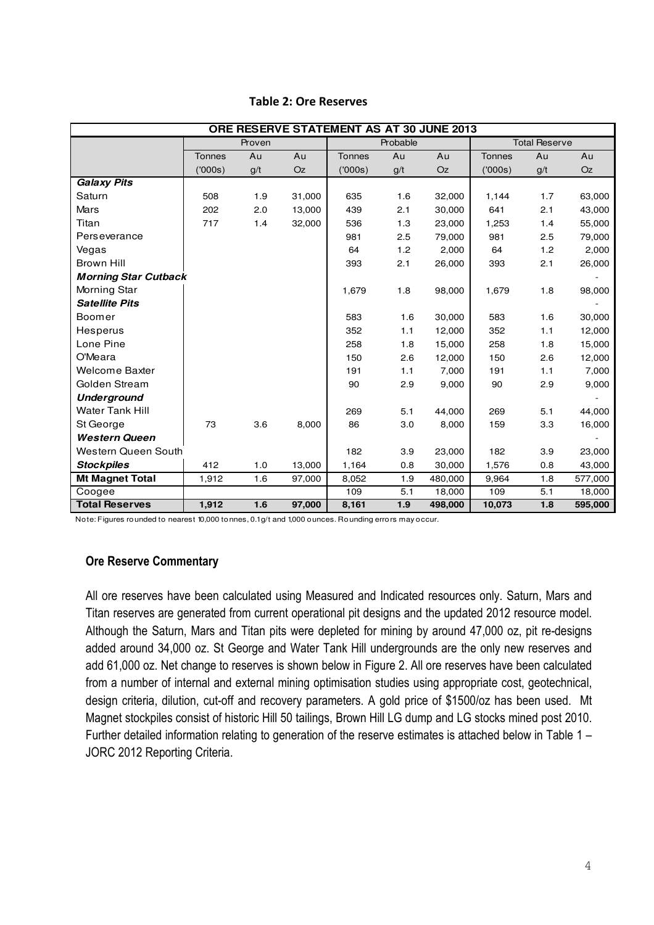| ORE RESERVE STATEMENT AS AT 30 JUNE 2013 |               |     |        |               |     |           |                      |     |         |
|------------------------------------------|---------------|-----|--------|---------------|-----|-----------|----------------------|-----|---------|
|                                          | Proven        |     |        | Probable      |     |           | <b>Total Reserve</b> |     |         |
|                                          | <b>Tonnes</b> | Au  | Au     | <b>Tonnes</b> | Au  | Au        | <b>Tonnes</b>        | Au  | Au      |
|                                          | (′000s)       | g/t | Oz     | (7000s)       | g/t | <b>Oz</b> | (000s)               | g/t | Oz      |
| <b>Galaxy Pits</b>                       |               |     |        |               |     |           |                      |     |         |
| Saturn                                   | 508           | 1.9 | 31,000 | 635           | 1.6 | 32,000    | 1,144                | 1.7 | 63,000  |
| Mars                                     | 202           | 2.0 | 13,000 | 439           | 2.1 | 30,000    | 641                  | 2.1 | 43,000  |
| Titan                                    | 717           | 1.4 | 32,000 | 536           | 1.3 | 23,000    | 1,253                | 1.4 | 55,000  |
| Perseverance                             |               |     |        | 981           | 2.5 | 79,000    | 981                  | 2.5 | 79,000  |
| Vegas                                    |               |     |        | 64            | 1.2 | 2,000     | 64                   | 1.2 | 2,000   |
| <b>Brown Hill</b>                        |               |     |        | 393           | 2.1 | 26,000    | 393                  | 2.1 | 26,000  |
| <b>Morning Star Cutback</b>              |               |     |        |               |     |           |                      |     |         |
| Morning Star                             |               |     |        | 1,679         | 1.8 | 98,000    | 1,679                | 1.8 | 98,000  |
| <b>Satellite Pits</b>                    |               |     |        |               |     |           |                      |     |         |
| Boomer                                   |               |     |        | 583           | 1.6 | 30,000    | 583                  | 1.6 | 30,000  |
| Hesperus                                 |               |     |        | 352           | 1.1 | 12,000    | 352                  | 1.1 | 12,000  |
| Lone Pine                                |               |     |        | 258           | 1.8 | 15,000    | 258                  | 1.8 | 15,000  |
| O'Meara                                  |               |     |        | 150           | 2.6 | 12,000    | 150                  | 2.6 | 12,000  |
| Welcome Baxter                           |               |     |        | 191           | 1.1 | 7,000     | 191                  | 1.1 | 7,000   |
| Golden Stream                            |               |     |        | 90            | 2.9 | 9,000     | 90                   | 2.9 | 9,000   |
| <b>Underground</b>                       |               |     |        |               |     |           |                      |     |         |
| <b>Water Tank Hill</b>                   |               |     |        | 269           | 5.1 | 44,000    | 269                  | 5.1 | 44,000  |
| St George                                | 73            | 3.6 | 8,000  | 86            | 3.0 | 8,000     | 159                  | 3.3 | 16,000  |
| <b>Western Queen</b>                     |               |     |        |               |     |           |                      |     |         |
| Western Queen South                      |               |     |        | 182           | 3.9 | 23,000    | 182                  | 3.9 | 23,000  |
| <b>Stockpiles</b>                        | 412           | 1.0 | 13,000 | 1,164         | 0.8 | 30,000    | 1,576                | 0.8 | 43,000  |
| <b>Mt Magnet Total</b>                   | 1,912         | 1.6 | 97,000 | 8,052         | 1.9 | 480,000   | 9,964                | 1.8 | 577,000 |
| Coogee                                   |               |     |        | 109           | 5.1 | 18,000    | 109                  | 5.1 | 18,000  |
| <b>Total Reserves</b>                    | 1,912         | 1.6 | 97,000 | 8,161         | 1.9 | 498,000   | 10,073               | 1.8 | 595,000 |

#### Table 2: Ore Reserves

Note: Figures rounded to nearest 10,000 tonnes, 0.1 g/t and 1,000 ounces. Rounding errors may occur.

# Ore Reserve Commentary

All ore reserves have been calculated using Measured and Indicated resources only. Saturn, Mars and Titan reserves are generated from current operational pit designs and the updated 2012 resource model. Although the Saturn, Mars and Titan pits were depleted for mining by around 47,000 oz, pit re-designs added around 34,000 oz. St George and Water Tank Hill undergrounds are the only new reserves and add 61,000 oz. Net change to reserves is shown below in Figure 2. All ore reserves have been calculated from a number of internal and external mining optimisation studies using appropriate cost, geotechnical, design criteria, dilution, cut-off and recovery parameters. A gold price of \$1500/oz has been used. Mt Magnet stockpiles consist of historic Hill 50 tailings, Brown Hill LG dump and LG stocks mined post 2010. Further detailed information relating to generation of the reserve estimates is attached below in Table 1 – JORC 2012 Reporting Criteria.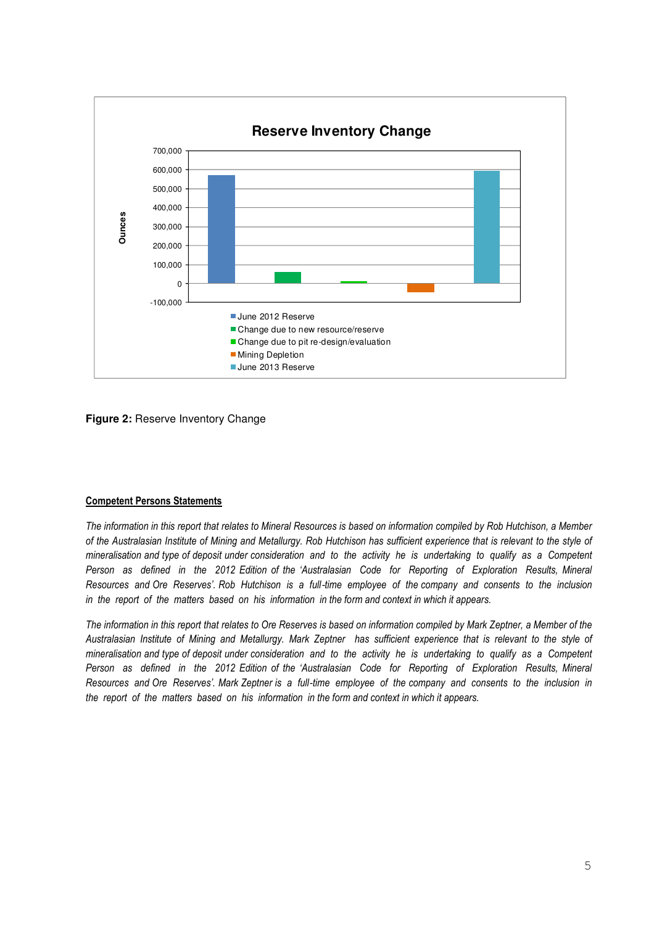

**Figure 2: Reserve Inventory Change** 

#### Competent Persons Statements

The information in this report that relates to Mineral Resources is based on information compiled by Rob Hutchison, a Member of the Australasian Institute of Mining and Metallurgy. Rob Hutchison has sufficient experience that is relevant to the style of mineralisation and type of deposit under consideration and to the activity he is undertaking to qualify as a Competent Person as defined in the 2012 Edition of the 'Australasian Code for Reporting of Exploration Results, Mineral Resources and Ore Reserves'. Rob Hutchison is a full-time emplovee of the company and consents to the inclusion in the report of the matters based on his information in the form and context in which it appears.

The information in this report that relates to Ore Reserves is based on information compiled by Mark Zeptner, a Member of the Australasian Institute of Mining and Metallurgy. Mark Zeptner has sufficient experience that is relevant to the style of mineralisation and type of deposit under consideration and to the activity he is undertaking to qualify as a Competent Person as defined in the 2012 Edition of the 'Australasian Code for Reporting of Exploration Results, Mineral Resources and Ore Reserves'. Mark Zeptner is a full‐time employee of the company and consents to the inclusion in the report of the matters based on his information in the form and context in which it appears.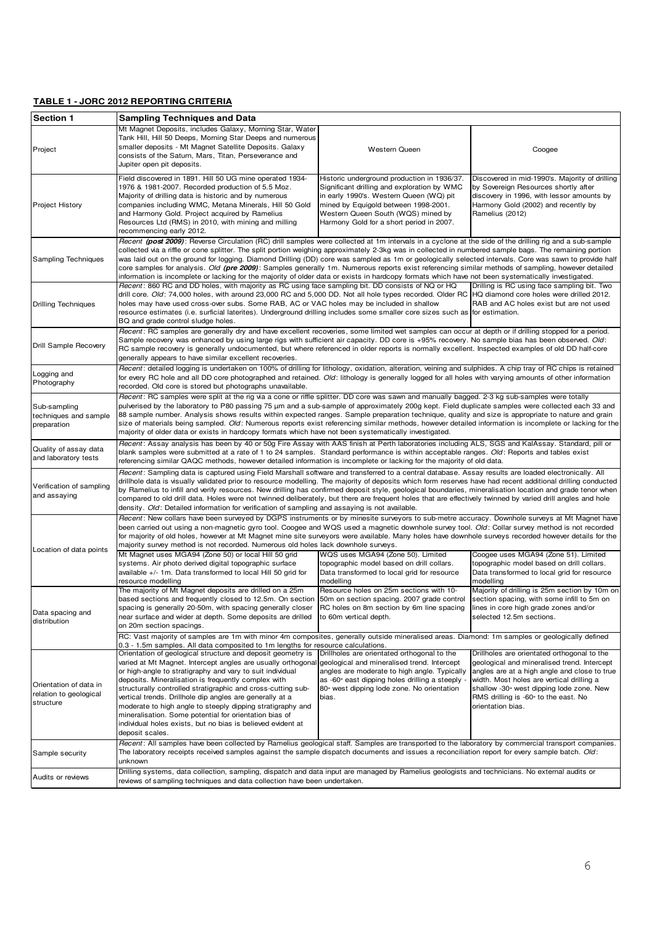#### **TABLE 1 - JORC 2012 REPORTING CRITERIA**

| <b>Section 1</b>                                              | <b>Sampling Techniques and Data</b>                                                                                                                                                                                                                                                                                                                                                                                                                                                                                                                                                                                                                                                                                                                                                                                                                                                                                                                                                                                                                                                                                                                                                                                                |                                                                                                                                                                                                                                                                 |                                                                                                                                                                                               |  |  |  |  |
|---------------------------------------------------------------|------------------------------------------------------------------------------------------------------------------------------------------------------------------------------------------------------------------------------------------------------------------------------------------------------------------------------------------------------------------------------------------------------------------------------------------------------------------------------------------------------------------------------------------------------------------------------------------------------------------------------------------------------------------------------------------------------------------------------------------------------------------------------------------------------------------------------------------------------------------------------------------------------------------------------------------------------------------------------------------------------------------------------------------------------------------------------------------------------------------------------------------------------------------------------------------------------------------------------------|-----------------------------------------------------------------------------------------------------------------------------------------------------------------------------------------------------------------------------------------------------------------|-----------------------------------------------------------------------------------------------------------------------------------------------------------------------------------------------|--|--|--|--|
| Project                                                       | Mt Magnet Deposits, includes Galaxy, Morning Star, Water<br>Tank Hill, Hill 50 Deeps, Morning Star Deeps and numerous<br>smaller deposits - Mt Magnet Satellite Deposits. Galaxy<br>consists of the Saturn, Mars, Titan, Perseverance and<br>Jupiter open pit deposits.                                                                                                                                                                                                                                                                                                                                                                                                                                                                                                                                                                                                                                                                                                                                                                                                                                                                                                                                                            | <b>Western Queen</b>                                                                                                                                                                                                                                            | Coogee                                                                                                                                                                                        |  |  |  |  |
| <b>Project History</b>                                        | Field discovered in 1891. Hill 50 UG mine operated 1934-<br>1976 & 1981-2007. Recorded production of 5.5 Moz.<br>Majority of drilling data is historic and by numerous<br>companies including WMC, Metana Minerals, Hill 50 Gold<br>and Harmony Gold. Project acquired by Ramelius<br>Resources Ltd (RMS) in 2010, with mining and milling<br>recommencing early 2012.                                                                                                                                                                                                                                                                                                                                                                                                                                                                                                                                                                                                                                                                                                                                                                                                                                                             | Historic underground production in 1936/37.<br>Significant drilling and exploration by WMC<br>in early 1990's. Western Queen (WQ) pit<br>mined by Equigold between 1998-2001.<br>Western Queen South (WQS) mined by<br>Harmony Gold for a short period in 2007. | Discovered in mid-1990's. Majority of drilling<br>by Sovereign Resources shortly after<br>discovery in 1996, with lessor amounts by<br>Harmony Gold (2002) and recently by<br>Ramelius (2012) |  |  |  |  |
| Sampling Techniques                                           | Recent (post 2009): Reverse Circulation (RC) drill samples were collected at 1m intervals in a cyclone at the side of the drilling rig and a sub-sample<br>collected via a riffle or cone splitter. The split portion weighing approximately 2-3kg was in collected in numbered sample bags. The remaining portion<br>was laid out on the ground for logging. Diamond Drilling (DD) core was sampled as 1m or geologically selected intervals. Core was sawn to provide half<br>core samples for analysis. Old (pre 2009): Samples generally 1m. Numerous reports exist referencing similar methods of sampling, however detailed<br>information is incomplete or lacking for the majority of older data or exists in hardcopy formats which have not been systematically investigated.                                                                                                                                                                                                                                                                                                                                                                                                                                            |                                                                                                                                                                                                                                                                 |                                                                                                                                                                                               |  |  |  |  |
| <b>Drilling Techniques</b>                                    | Recent: 860 RC and DD holes, with majority as RC using face sampling bit. DD consists of NQ or HQ<br>Drilling is RC using face sampling bit. Two<br>drill core. Old: 74,000 holes, with around 23,000 RC and 5,000 DD. Not all hole types recorded. Older RC  HQ diamond core holes were drilled 2012.<br>holes may have used cross-over subs. Some RAB, AC or VAC holes may be included in shallow<br>RAB and AC holes exist but are not used<br>resource estimates (i.e. surficial laterites). Underground drilling includes some smaller core sizes such as for estimation.<br>BQ and grade control sludge holes.                                                                                                                                                                                                                                                                                                                                                                                                                                                                                                                                                                                                               |                                                                                                                                                                                                                                                                 |                                                                                                                                                                                               |  |  |  |  |
| Drill Sample Recovery                                         | Recent: RC samples are generally dry and have excellent recoveries, some limited wet samples can occur at depth or if drilling stopped for a period.<br>Sample recovery was enhanced by using large rigs with sufficient air capacity. DD core is +95% recovery. No sample bias has been observed. Old:<br>RC sample recovery is generally undocumented, but where referenced in older reports is normally excellent. Inspected examples of old DD half-core<br>generally appears to have similar excellent recoveries.                                                                                                                                                                                                                                                                                                                                                                                                                                                                                                                                                                                                                                                                                                            |                                                                                                                                                                                                                                                                 |                                                                                                                                                                                               |  |  |  |  |
| Logging and<br>Photography                                    | Recent: detailed logging is undertaken on 100% of drilling for lithology, oxidation, alteration, veining and sulphides. A chip tray of RC chips is retained<br>for every RC hole and all DD core photographed and retained. Old: lithology is generally logged for all holes with varying amounts of other information<br>recorded. Old core is stored but photographs unavailable.                                                                                                                                                                                                                                                                                                                                                                                                                                                                                                                                                                                                                                                                                                                                                                                                                                                |                                                                                                                                                                                                                                                                 |                                                                                                                                                                                               |  |  |  |  |
| Sub-sampling<br>techniques and sample<br>preparation          | Recent: RC samples were split at the rig via a cone or riffle splitter. DD core was sawn and manually bagged. 2-3 kg sub-samples were totally<br>pulverised by the laboratory to P80 passing 75 µm and a sub-sample of approximately 200g kept. Field duplicate samples were collected each 33 and<br>88 sample number. Analysis shows results within expected ranges. Sample preparation technique, quality and size is appropriate to nature and grain<br>size of materials being sampled. Old: Numerous reports exist referencing similar methods, however detailed information is incomplete or lacking for the<br>majority of older data or exists in hardcopy formats which have not been systematically investigated.                                                                                                                                                                                                                                                                                                                                                                                                                                                                                                       |                                                                                                                                                                                                                                                                 |                                                                                                                                                                                               |  |  |  |  |
| Quality of assay data<br>and laboratory tests                 | Recent: Assay analysis has been by 40 or 50g Fire Assay with AAS finish at Perth laboratories including ALS, SGS and KalAssay. Standard, pill or<br>blank samples were submitted at a rate of 1 to 24 samples. Standard performance is within acceptable ranges. Old: Reports and tables exist<br>referencing similar QAQC methods, however detailed information is incomplete or lacking for the majority of old data.                                                                                                                                                                                                                                                                                                                                                                                                                                                                                                                                                                                                                                                                                                                                                                                                            |                                                                                                                                                                                                                                                                 |                                                                                                                                                                                               |  |  |  |  |
| Verification of sampling<br>and assaying                      | Recent: Sampling data is captured using Field Marshall software and transferred to a central database. Assay results are loaded electronically. All<br>drillhole data is visually validated prior to resource modelling. The majority of deposits which form reserves have had recent additional drilling conducted<br>by Ramelius to infill and verify resources. New drilling has confirmed deposit style, geological boundaries, mineralisation location and grade tenor when<br>compared to old drill data. Holes were not twinned deliberately, but there are frequent holes that are effectively twinned by varied drill angles and hole<br>density. Old: Detailed information for verification of sampling and assaying is not available.                                                                                                                                                                                                                                                                                                                                                                                                                                                                                   |                                                                                                                                                                                                                                                                 |                                                                                                                                                                                               |  |  |  |  |
| Location of data points                                       | Recent: New collars have been surveyed by DGPS instruments or by minesite surveyors to sub-metre accuracy. Downhole surveys at Mt Magnet have<br>been carried out using a non-magnetic gyro tool. Coogee and WQS used a magnetic downhole survey tool. Old: Collar survey method is not recorded<br>for majority of old holes, however at Mt Magnet mine site surveyors were available. Many holes have downhole surveys recorded however details for the<br>majority survey method is not recorded. Numerous old holes lack downhole surveys.                                                                                                                                                                                                                                                                                                                                                                                                                                                                                                                                                                                                                                                                                     |                                                                                                                                                                                                                                                                 |                                                                                                                                                                                               |  |  |  |  |
|                                                               | Mt Magnet uses MGA94 (Zone 50) or local Hill 50 grid<br>systems. Air photo derived digital topographic surface<br>available +/- 1m. Data transformed to local Hill 50 grid for<br>resource modelling                                                                                                                                                                                                                                                                                                                                                                                                                                                                                                                                                                                                                                                                                                                                                                                                                                                                                                                                                                                                                               | WQS uses MGA94 (Zone 50). Limited<br>topographic model based on drill collars.<br>Data transformed to local grid for resource<br>modelling                                                                                                                      | Coogee uses MGA94 (Zone 51). Limited<br>topographic model based on drill collars.<br>Data transformed to local grid for resource<br>modelling                                                 |  |  |  |  |
| Data spacing and<br>distribution                              | The majority of Mt Magnet deposits are drilled on a 25m<br>Resource holes on 25m sections with 10-<br>Majority of drilling is 25m section by 10m on<br>based sections and frequently closed to 12.5m. On section 50m on section spacing. 2007 grade control section spacing, with some infill to 5m on<br>spacing is generally 20-50m, with spacing generally closer<br>RC holes on 8m section by 6m line spacing<br>lines in core high grade zones and/or<br>near surface and wider at depth. Some deposits are drilled<br>selected 12.5m sections.<br>to 60m vertical depth.<br>on 20m section spacings.<br>RC: Vast majority of samples are 1m with minor 4m composites, generally outside mineralised areas. Diamond: 1m samples or geologically defined                                                                                                                                                                                                                                                                                                                                                                                                                                                                       |                                                                                                                                                                                                                                                                 |                                                                                                                                                                                               |  |  |  |  |
| Orientation of data in<br>relation to geological<br>structure | 0.3 - 1.5m samples. All data composited to 1m lengths for resource calculations.<br>Drillholes are orientated orthogonal to the<br>Drillholes are orientated orthogonal to the<br>Orientation of geological structure and deposit geometry is<br>varied at Mt Magnet. Intercept angles are usually orthogonal geological and mineralised trend. Intercept<br>geological and mineralised trend. Intercept<br>or high-angle to stratigraphy and vary to suit individual<br>angles are moderate to high angle. Typically<br>angles are at a high angle and close to true<br>deposits. Mineralisation is frequently complex with<br>as -60° east dipping holes drilling a steeply -<br>width. Most holes are vertical drilling a<br>structurally controlled stratigraphic and cross-cutting sub-<br>80° west dipping lode zone. No orientation<br>shallow -30° west dipping lode zone. New<br>vertical trends. Drillhole dip angles are generally at a<br>bias.<br>RMS drilling is -60° to the east. No<br>moderate to high angle to steeply dipping stratigraphy and<br>orientation bias.<br>mineralisation. Some potential for orientation bias of<br>individual holes exists, but no bias is believed evident at<br>deposit scales. |                                                                                                                                                                                                                                                                 |                                                                                                                                                                                               |  |  |  |  |
| Sample security                                               | Recent: All samples have been collected by Ramelius geological staff. Samples are transported to the laboratory by commercial transport companies.<br>The laboratory receipts received samples against the sample dispatch documents and issues a reconciliation report for every sample batch. Old:<br>unknown                                                                                                                                                                                                                                                                                                                                                                                                                                                                                                                                                                                                                                                                                                                                                                                                                                                                                                                    |                                                                                                                                                                                                                                                                 |                                                                                                                                                                                               |  |  |  |  |
| Audits or reviews                                             | Drilling systems, data collection, sampling, dispatch and data input are managed by Ramelius geologists and technicians. No external audits or<br>reviews of sampling techniques and data collection have been undertaken.                                                                                                                                                                                                                                                                                                                                                                                                                                                                                                                                                                                                                                                                                                                                                                                                                                                                                                                                                                                                         |                                                                                                                                                                                                                                                                 |                                                                                                                                                                                               |  |  |  |  |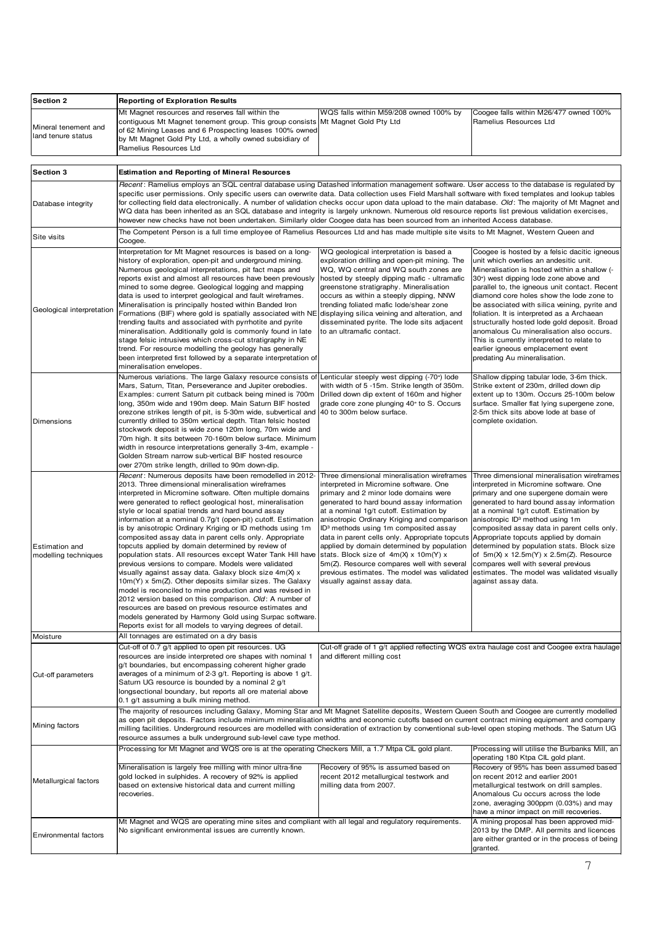| <b>Section 2</b>                                                  | <b>Reporting of Exploration Results</b>                                                                                                                                                                                                                                                                                                                                                                                                                                                                                                                                                                                                                                                                                                                                                                                                                                                                                                                                                                                                                                                                                                        |                                                                                                                                                                                                                                                                                                                                                                                                                                                                                                                                                                                                  |                                                                                                                                                                                                                                                                                                                                                                                                                                                                                                                                                                                            |  |  |  |  |  |
|-------------------------------------------------------------------|------------------------------------------------------------------------------------------------------------------------------------------------------------------------------------------------------------------------------------------------------------------------------------------------------------------------------------------------------------------------------------------------------------------------------------------------------------------------------------------------------------------------------------------------------------------------------------------------------------------------------------------------------------------------------------------------------------------------------------------------------------------------------------------------------------------------------------------------------------------------------------------------------------------------------------------------------------------------------------------------------------------------------------------------------------------------------------------------------------------------------------------------|--------------------------------------------------------------------------------------------------------------------------------------------------------------------------------------------------------------------------------------------------------------------------------------------------------------------------------------------------------------------------------------------------------------------------------------------------------------------------------------------------------------------------------------------------------------------------------------------------|--------------------------------------------------------------------------------------------------------------------------------------------------------------------------------------------------------------------------------------------------------------------------------------------------------------------------------------------------------------------------------------------------------------------------------------------------------------------------------------------------------------------------------------------------------------------------------------------|--|--|--|--|--|
| Mineral tenement and<br>land tenure status                        | Mt Magnet resources and reserves fall within the<br>contiguous Mt Magnet tenement group. This group consists<br>of 62 Mining Leases and 6 Prospecting leases 100% owned<br>by Mt Magnet Gold Pty Ltd, a wholly owned subsidiary of<br>Ramelius Resources Ltd                                                                                                                                                                                                                                                                                                                                                                                                                                                                                                                                                                                                                                                                                                                                                                                                                                                                                   | WQS falls within M59/208 owned 100% by<br>Mt Magnet Gold Pty Ltd                                                                                                                                                                                                                                                                                                                                                                                                                                                                                                                                 | Coogee falls within M26/477 owned 100%<br>Ramelius Resources Ltd                                                                                                                                                                                                                                                                                                                                                                                                                                                                                                                           |  |  |  |  |  |
| Section 3<br><b>Estimation and Reporting of Mineral Resources</b> |                                                                                                                                                                                                                                                                                                                                                                                                                                                                                                                                                                                                                                                                                                                                                                                                                                                                                                                                                                                                                                                                                                                                                |                                                                                                                                                                                                                                                                                                                                                                                                                                                                                                                                                                                                  |                                                                                                                                                                                                                                                                                                                                                                                                                                                                                                                                                                                            |  |  |  |  |  |
| Database integrity                                                | Recent: Ramelius employs an SQL central database using Datashed information management software. User access to the database is regulated by<br>specific user permissions. Only specific users can overwrite data. Data collection uses Field Marshall software with fixed templates and lookup tables<br>for collecting field data electronically. A number of validation checks occur upon data upload to the main database. Old: The majority of Mt Magnet and<br>WQ data has been inherited as an SQL database and integrity is largely unknown. Numerous old resource reports list previous validation exercises,<br>however new checks have not been undertaken. Similarly older Coogee data has been sourced from an inherited Access database.                                                                                                                                                                                                                                                                                                                                                                                         |                                                                                                                                                                                                                                                                                                                                                                                                                                                                                                                                                                                                  |                                                                                                                                                                                                                                                                                                                                                                                                                                                                                                                                                                                            |  |  |  |  |  |
| Site visits                                                       | The Competent Person is a full time employee of Ramelius Resources Ltd and has made multiple site visits to Mt Magnet, Western Queen and<br>Coogee.                                                                                                                                                                                                                                                                                                                                                                                                                                                                                                                                                                                                                                                                                                                                                                                                                                                                                                                                                                                            |                                                                                                                                                                                                                                                                                                                                                                                                                                                                                                                                                                                                  |                                                                                                                                                                                                                                                                                                                                                                                                                                                                                                                                                                                            |  |  |  |  |  |
| Geological interpretation                                         | Interpretation for Mt Magnet resources is based on a long-<br>history of exploration, open-pit and underground mining.<br>Numerous geological interpretations, pit fact maps and<br>reports exist and almost all resources have been previously<br>mined to some degree. Geological logging and mapping<br>data is used to interpret geological and fault wireframes.<br>Mineralisation is principally hosted within Banded Iron<br>Formations (BIF) where gold is spatially associated with NE<br>trending faults and associated with pyrrhotite and pyrite<br>mineralisation. Additionally gold is commonly found in late<br>stage felsic intrusives which cross-cut stratigraphy in NE<br>trend. For resource modelling the geology has generally<br>been interpreted first followed by a separate interpretation of<br>mineralisation envelopes.                                                                                                                                                                                                                                                                                           | WQ geological interpretation is based a<br>exploration drilling and open-pit mining. The<br>WQ, WQ central and WQ south zones are<br>hosted by steeply dipping mafic - ultramafic<br>greenstone stratigraphy. Mineralisation<br>occurs as within a steeply dipping, NNW<br>trending foliated mafic lode/shear zone<br>displaying silica veining and alteration, and<br>disseminated pyrite. The lode sits adjacent<br>to an ultramafic contact.                                                                                                                                                  | Coogee is hosted by a felsic dacitic igneous<br>unit which overlies an andesitic unit.<br>Mineralisation is hosted within a shallow (-<br>30°) west dipping lode zone above and<br>parallel to, the igneous unit contact. Recent<br>diamond core holes show the lode zone to<br>be associated with silica veining, pyrite and<br>foliation. It is interpreted as a Archaean<br>structurally hosted lode gold deposit. Broad<br>anomalous Cu mineralisation also occurs.<br>This is currently interpreted to relate to<br>earlier igneous emplacement event<br>predating Au mineralisation. |  |  |  |  |  |
| Dimensions                                                        | Numerous variations. The large Galaxy resource consists of Lenticular steeply west dipping (-70°) lode<br>Mars, Saturn, Titan, Perseverance and Jupiter orebodies.<br>Examples: current Saturn pit cutback being mined is 700m<br>long, 350m wide and 190m deep. Main Saturn BIF hosted<br>orezone strikes length of pit, is 5-30m wide, subvertical and<br>currently drilled to 350m vertical depth. Titan felsic hosted<br>stockwork deposit is wide zone 120m long, 70m wide and<br>70m high. It sits between 70-160m below surface. Minimum<br>width in resource interpretations generally 3-4m, example -<br>Golden Stream narrow sub-vertical BIF hosted resource<br>over 270m strike length, drilled to 90m down-dip.                                                                                                                                                                                                                                                                                                                                                                                                                   | with width of 5 -15m. Strike length of 350m.<br>Drilled down dip extent of 160m and higher<br>grade core zone plunging 40° to S. Occurs<br>40 to 300m below surface.                                                                                                                                                                                                                                                                                                                                                                                                                             | Shallow dipping tabular lode, 3-6m thick.<br>Strike extent of 230m, drilled down dip<br>extent up to 130m. Occurs 25-100m below<br>surface. Smaller flat lying supergene zone,<br>2-5m thick sits above lode at base of<br>complete oxidation.                                                                                                                                                                                                                                                                                                                                             |  |  |  |  |  |
| Estimation and<br>modelling techniques<br>Moisture                | Recent: Numerous deposits have been remodelled in 2012-<br>2013. Three dimensional mineralisation wireframes<br>interpreted in Micromine software. Often multiple domains<br>were generated to reflect geological host, mineralisation<br>style or local spatial trends and hard bound assay<br>information at a nominal 0.7g/t (open-pit) cutoff. Estimation<br>is by anisotropic Ordinary Kriging or ID methods using 1m<br>composited assay data in parent cells only. Appropriate<br>topcuts applied by domain determined by review of<br>population stats. All resources except Water Tank Hill have<br>previous versions to compare. Models were validated<br>visually against assay data. Galaxy block size 4m(X) x<br>10m(Y) x 5m(Z). Other deposits similar sizes. The Galaxy<br>model is reconciled to mine production and was revised in<br>2012 version based on this comparison. Old: A number of<br>resources are based on previous resource estimates and<br>models generated by Harmony Gold using Surpac software.<br>Reports exist for all models to varying degrees of detail.<br>All tonnages are estimated on a dry basis | Three dimensional mineralisation wireframes<br>interpreted in Micromine software. One<br>primary and 2 minor lode domains were<br>generated to hard bound assay information<br>at a nominal 1g/t cutoff. Estimation by<br>anisotropic Ordinary Kriging and comparison<br>ID <sup>3</sup> methods using 1m composited assay<br>data in parent cells only. Appropriate topcuts<br>applied by domain determined by population<br>stats. Block size of 4m(X) x 10m(Y) x<br>5m(Z). Resource compares well with several<br>previous estimates. The model was validated<br>visually against assay data. | Three dimensional mineralisation wireframes<br>interpreted in Micromine software. One<br>primary and one supergene domain were<br>generated to hard bound assay information<br>at a nominal 1g/t cutoff. Estimation by<br>anisotropic ID <sup>3</sup> method using 1m<br>composited assay data in parent cells only.<br>Appropriate topcuts applied by domain<br>determined by population stats. Block size<br>of $5m(X) \times 12.5m(Y) \times 2.5m(Z)$ . Resource<br>compares well with several previous<br>estimates. The model was validated visually<br>against assay data.           |  |  |  |  |  |
|                                                                   | Cut-off of 0.7 g/t applied to open pit resources. UG                                                                                                                                                                                                                                                                                                                                                                                                                                                                                                                                                                                                                                                                                                                                                                                                                                                                                                                                                                                                                                                                                           | Cut-off grade of 1 g/t applied reflecting WQS extra haulage cost and Coogee extra haulage                                                                                                                                                                                                                                                                                                                                                                                                                                                                                                        |                                                                                                                                                                                                                                                                                                                                                                                                                                                                                                                                                                                            |  |  |  |  |  |
| Cut-off parameters                                                | resources are inside interpreted ore shapes with nominal 1<br>g/t boundaries, but encompassing coherent higher grade<br>averages of a minimum of 2-3 g/t. Reporting is above 1 g/t.<br>Saturn UG resource is bounded by a nominal 2 g/t<br>longsectional boundary, but reports all ore material above<br>0.1 g/t assuming a bulk mining method.                                                                                                                                                                                                                                                                                                                                                                                                                                                                                                                                                                                                                                                                                                                                                                                                | and different milling cost                                                                                                                                                                                                                                                                                                                                                                                                                                                                                                                                                                       |                                                                                                                                                                                                                                                                                                                                                                                                                                                                                                                                                                                            |  |  |  |  |  |
| Mining factors                                                    | The majority of resources including Galaxy, Morning Star and Mt Magnet Satellite deposits, Western Queen South and Coogee are currently modelled<br>as open pit deposits. Factors include minimum mineralisation widths and economic cutoffs based on current contract mining equipment and company<br>milling facilities. Underground resources are modelled with consideration of extraction by conventional sub-level open stoping methods. The Saturn UG<br>resource assumes a bulk underground sub-level cave type method.                                                                                                                                                                                                                                                                                                                                                                                                                                                                                                                                                                                                                |                                                                                                                                                                                                                                                                                                                                                                                                                                                                                                                                                                                                  |                                                                                                                                                                                                                                                                                                                                                                                                                                                                                                                                                                                            |  |  |  |  |  |
|                                                                   | Processing for Mt Magnet and WQS ore is at the operating Checkers Mill, a 1.7 Mtpa CIL gold plant.                                                                                                                                                                                                                                                                                                                                                                                                                                                                                                                                                                                                                                                                                                                                                                                                                                                                                                                                                                                                                                             |                                                                                                                                                                                                                                                                                                                                                                                                                                                                                                                                                                                                  | Processing will utilise the Burbanks Mill, an<br>operating 180 Ktpa CIL gold plant.                                                                                                                                                                                                                                                                                                                                                                                                                                                                                                        |  |  |  |  |  |
| Metallurgical factors                                             | Mineralisation is largely free milling with minor ultra-fine<br>gold locked in sulphides. A recovery of 92% is applied<br>based on extensive historical data and current milling<br>recoveries.                                                                                                                                                                                                                                                                                                                                                                                                                                                                                                                                                                                                                                                                                                                                                                                                                                                                                                                                                | Recovery of 95% is assumed based on<br>recent 2012 metallurgical testwork and<br>milling data from 2007.                                                                                                                                                                                                                                                                                                                                                                                                                                                                                         | Recovery of 95% has been assumed based<br>on recent 2012 and earlier 2001<br>metallurgical testwork on drill samples.<br>Anomalous Cu occurs across the lode<br>zone, averaging 300ppm (0.03%) and may<br>have a minor impact on mill recoveries.                                                                                                                                                                                                                                                                                                                                          |  |  |  |  |  |
| Environmental factors                                             | Mt Magnet and WQS are operating mine sites and compliant with all legal and regulatory requirements.<br>No significant environmental issues are currently known.                                                                                                                                                                                                                                                                                                                                                                                                                                                                                                                                                                                                                                                                                                                                                                                                                                                                                                                                                                               | A mining proposal has been approved mid-<br>2013 by the DMP. All permits and licences<br>are either granted or in the process of being<br>granted.                                                                                                                                                                                                                                                                                                                                                                                                                                               |                                                                                                                                                                                                                                                                                                                                                                                                                                                                                                                                                                                            |  |  |  |  |  |